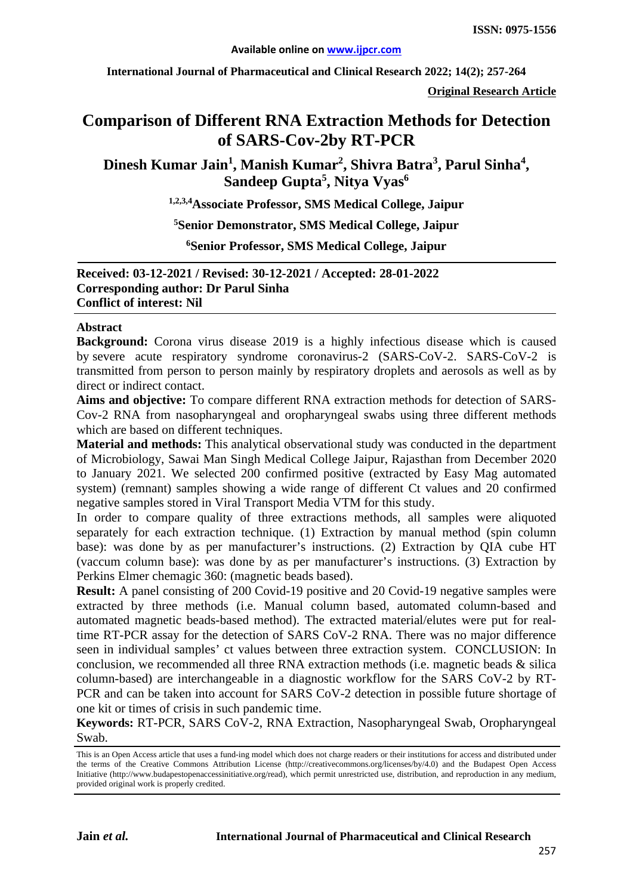**International Journal of Pharmaceutical and Clinical Research 2022; 14(2); 257-264**

**Original Research Article**

# **Comparison of Different RNA Extraction Methods for Detection of SARS-Cov-2by RT-PCR**

**Dinesh Kumar Jain<sup>1</sup> , Manish Kumar2 , Shivra Batra<sup>3</sup> , Parul Sinha4 , Sandeep Gupta5 , Nitya Vyas6**

**1,2,3,4Associate Professor, SMS Medical College, Jaipur**

**5 Senior Demonstrator, SMS Medical College, Jaipur**

**6Senior Professor, SMS Medical College, Jaipur**

**Received: 03-12-2021 / Revised: 30-12-2021 / Accepted: 28-01-2022 Corresponding author: Dr Parul Sinha Conflict of interest: Nil**

#### **Abstract**

**Background:** Corona virus disease 2019 is a highly infectious disease which is caused by severe acute respiratory syndrome coronavirus-2 (SARS-CoV-2. SARS-CoV-2 is transmitted from person to person mainly by respiratory droplets and aerosols as well as by direct or indirect contact.

**Aims and objective:** To compare different RNA extraction methods for detection of SARS-Cov-2 RNA from nasopharyngeal and oropharyngeal swabs using three different methods which are based on different techniques.

**Material and methods:** This analytical observational study was conducted in the department of Microbiology, Sawai Man Singh Medical College Jaipur, Rajasthan from December 2020 to January 2021. We selected 200 confirmed positive (extracted by Easy Mag automated system) (remnant) samples showing a wide range of different Ct values and 20 confirmed negative samples stored in Viral Transport Media VTM for this study.

In order to compare quality of three extractions methods, all samples were aliquoted separately for each extraction technique. (1) Extraction by manual method (spin column base): was done by as per manufacturer's instructions. (2) Extraction by QIA cube HT (vaccum column base): was done by as per manufacturer's instructions. (3) Extraction by Perkins Elmer chemagic 360: (magnetic beads based).

**Result:** A panel consisting of 200 Covid-19 positive and 20 Covid-19 negative samples were extracted by three methods (i.e. Manual column based, automated column-based and automated magnetic beads-based method). The extracted material/elutes were put for realtime RT-PCR assay for the detection of SARS CoV-2 RNA. There was no major difference seen in individual samples' ct values between three extraction system. CONCLUSION: In conclusion, we recommended all three RNA extraction methods (i.e. magnetic beads & silica column-based) are interchangeable in a diagnostic workflow for the SARS CoV-2 by RT-PCR and can be taken into account for SARS CoV-2 detection in possible future shortage of one kit or times of crisis in such pandemic time.

**Keywords:** RT-PCR, SARS CoV-2, RNA Extraction, Nasopharyngeal Swab, Oropharyngeal Swab.

This is an Open Access article that uses a fund-ing model which does not charge readers or their institutions for access and distributed under the terms of the Creative Commons Attribution License (http://creativecommons.org/licenses/by/4.0) and the Budapest Open Access Initiative (http://www.budapestopenaccessinitiative.org/read), which permit unrestricted use, distribution, and reproduction in any medium, provided original work is properly credited.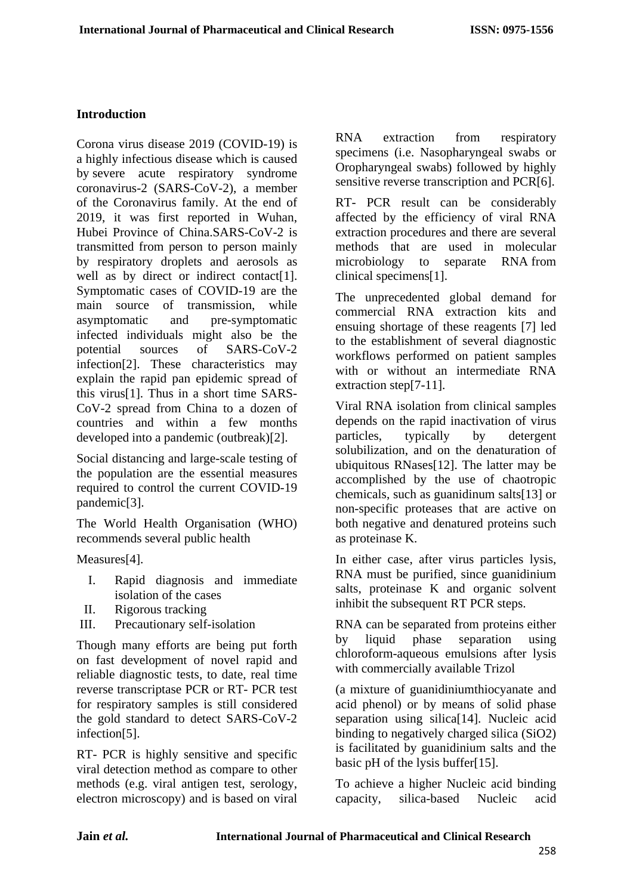# **Introduction**

Corona virus disease 2019 (COVID-19) is a highly infectious disease which is caused by severe acute respiratory syndrome coronavirus-2 (SARS-CoV-2), a member of the Coronavirus family. At the end of 2019, it was first reported in Wuhan, Hubei Province of China.SARS-CoV-2 is transmitted from person to person mainly by respiratory droplets and aerosols as well as by direct or indirect contact<sup>[1]</sup>. Symptomatic cases of COVID-19 are the main source of transmission, while asymptomatic and pre-symptomatic infected individuals might also be the potential sources of SARS-CoV-2 infection[2]. These characteristics may explain the rapid pan epidemic spread of this virus[1]. Thus in a short time SARS-CoV-2 spread from China to a dozen of countries and within a few months developed into a pandemic (outbreak)[2].

Social distancing and large-scale testing of the population are the essential measures required to control the current COVID-19 pandemic[3].

The World Health Organisation (WHO) recommends several public health

Measures[4].

- I. Rapid diagnosis and immediate isolation of the cases
- II. Rigorous tracking
- III. Precautionary self-isolation

Though many efforts are being put forth on fast development of novel rapid and reliable diagnostic tests, to date, real time reverse transcriptase PCR or RT- PCR test for respiratory samples is still considered the gold standard to detect SARS-CoV-2 infection[5].

RT- PCR is highly sensitive and specific viral detection method as compare to other methods (e.g. viral antigen test, serology, electron microscopy) and is based on viral RNA extraction from respiratory specimens (i.e. Nasopharyngeal swabs or Oropharyngeal swabs) followed by highly sensitive reverse transcription and PCR[6].

RT- PCR result can be considerably affected by the efficiency of viral RNA extraction procedures and there are several methods that are used in molecular microbiology to separate RNA from clinical specimens[1].

The unprecedented global demand for commercial RNA extraction kits and ensuing shortage of these reagents [7] led to the establishment of several diagnostic workflows performed on patient samples with or without an intermediate RNA extraction step[7-11].

Viral RNA isolation from clinical samples depends on the rapid inactivation of virus particles, typically by detergent solubilization, and on the denaturation of ubiquitous RNases[12]. The latter may be accomplished by the use of chaotropic chemicals, such as guanidinum salts[13] or non-specific proteases that are active on both negative and denatured proteins such as proteinase K.

In either case, after virus particles lysis, RNA must be purified, since guanidinium salts, proteinase K and organic solvent inhibit the subsequent RT PCR steps.

RNA can be separated from proteins either by liquid phase separation using chloroform-aqueous emulsions after lysis with commercially available Trizol

(a mixture of guanidiniumthiocyanate and acid phenol) or by means of solid phase separation using silica<sup>[14]</sup>. Nucleic acid binding to negatively charged silica (SiO2) is facilitated by guanidinium salts and the basic pH of the lysis buffer[15].

To achieve a higher Nucleic acid binding capacity, silica-based Nucleic acid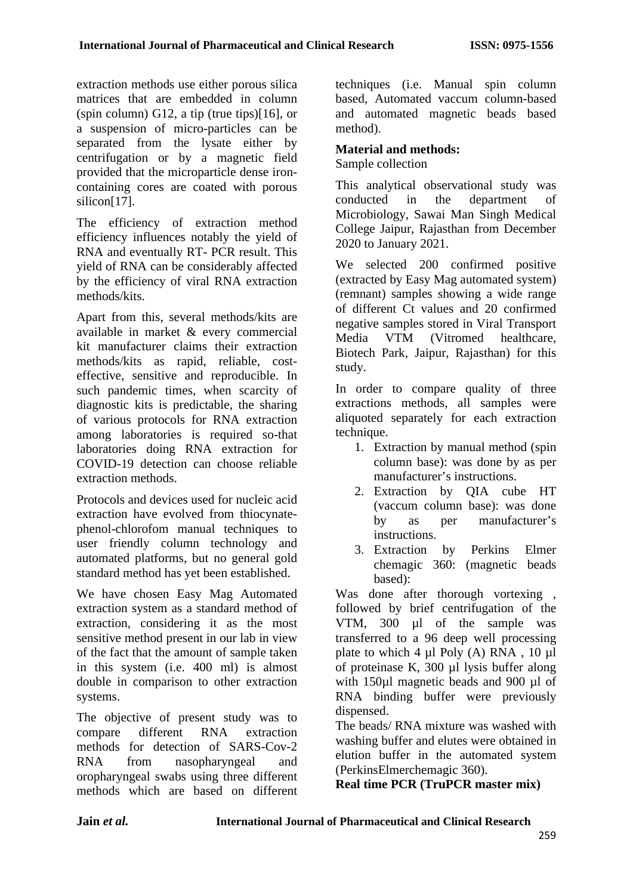extraction methods use either porous silica matrices that are embedded in column (spin column) G12, a tip (true tips)[16], or a suspension of micro-particles can be separated from the lysate either by centrifugation or by a magnetic field provided that the microparticle dense ironcontaining cores are coated with porous silicon<sup>[17]</sup>.

The efficiency of extraction method efficiency influences notably the yield of RNA and eventually RT- PCR result. This yield of RNA can be considerably affected by the efficiency of viral RNA extraction methods/kits.

Apart from this, several methods/kits are available in market & every commercial kit manufacturer claims their extraction methods/kits as rapid, reliable, costeffective, sensitive and reproducible. In such pandemic times, when scarcity of diagnostic kits is predictable, the sharing of various protocols for RNA extraction among laboratories is required so-that laboratories doing RNA extraction for COVID-19 detection can choose reliable extraction methods.

Protocols and devices used for nucleic acid extraction have evolved from thiocynatephenol-chlorofom manual techniques to user friendly column technology and automated platforms, but no general gold standard method has yet been established.

We have chosen Easy Mag Automated extraction system as a standard method of extraction, considering it as the most sensitive method present in our lab in view of the fact that the amount of sample taken in this system (i.e. 400 ml) is almost double in comparison to other extraction systems.

The objective of present study was to compare different RNA extraction methods for detection of SARS-Cov-2 RNA from nasopharyngeal and oropharyngeal swabs using three different methods which are based on different techniques (i.e. Manual spin column based, Automated vaccum column-based and automated magnetic beads based method).

# **Material and methods:**

Sample collection

This analytical observational study was conducted in the department of Microbiology, Sawai Man Singh Medical College Jaipur, Rajasthan from December 2020 to January 2021.

We selected 200 confirmed positive (extracted by Easy Mag automated system) (remnant) samples showing a wide range of different Ct values and 20 confirmed negative samples stored in Viral Transport Media VTM (Vitromed healthcare, Biotech Park, Jaipur, Rajasthan) for this study.

In order to compare quality of three extractions methods, all samples were aliquoted separately for each extraction technique.

- 1. Extraction by manual method (spin column base): was done by as per manufacturer's instructions.
- 2. Extraction by QIA cube HT (vaccum column base): was done by as per manufacturer's instructions.
- 3. Extraction by Perkins Elmer chemagic 360: (magnetic beads based):

Was done after thorough vortexing, followed by brief centrifugation of the VTM, 300 µl of the sample was transferred to a 96 deep well processing plate to which 4 µl Poly (A) RNA , 10 µl of proteinase K, 300 µl lysis buffer along with 150µl magnetic beads and 900 µl of RNA binding buffer were previously dispensed.

The beads/ RNA mixture was washed with washing buffer and elutes were obtained in elution buffer in the automated system (PerkinsElmerchemagic 360).

**Real time PCR (TruPCR master mix)**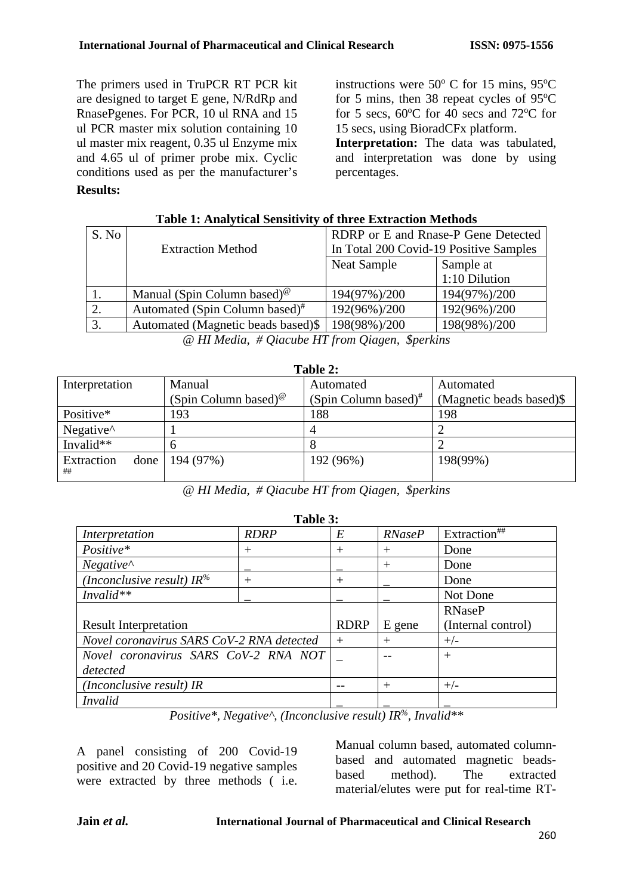The primers used in TruPCR RT PCR kit are designed to target E gene, N/RdRp and RnasePgenes. For PCR, 10 ul RNA and 15 ul PCR master mix solution containing 10 ul master mix reagent, 0.35 ul Enzyme mix and 4.65 ul of primer probe mix. Cyclic conditions used as per the manufacturer's instructions were  $50^{\circ}$  C for 15 mins,  $95^{\circ}$ C for 5 mins, then 38 repeat cycles of  $95^{\circ}$ C for 5 secs,  $60^{\circ}$ C for 40 secs and 72 $^{\circ}$ C for 15 secs, using BioradCFx platform.

**Interpretation:** The data was tabulated, and interpretation was done by using percentages.

# **Results:**

| S. No                                           |                                                      | RDRP or E and Rnase-P Gene Detected    |               |  |
|-------------------------------------------------|------------------------------------------------------|----------------------------------------|---------------|--|
|                                                 | <b>Extraction Method</b>                             | In Total 200 Covid-19 Positive Samples |               |  |
|                                                 |                                                      | Neat Sample<br>Sample at               |               |  |
|                                                 |                                                      |                                        | 1:10 Dilution |  |
|                                                 | Manual (Spin Column based) <sup><math>@</math></sup> | 194(97%)/200                           | 194(97%)/200  |  |
| 2.                                              | Automated (Spin Column based) <sup>#</sup>           | 192(96%)/200                           | 192(96%)/200  |  |
| 3.                                              | Automated (Magnetic beads based)\$                   | 198(98%)/200                           | 198(98%)/200  |  |
| @ HI Media, # Qiacube HT from Qiagen, \$perkins |                                                      |                                        |               |  |

#### **Table 1: Analytical Sensitivity of three Extraction Methods**

| Table 2:                                |                                               |                            |                          |  |  |
|-----------------------------------------|-----------------------------------------------|----------------------------|--------------------------|--|--|
| Interpretation                          | Manual                                        | Automated                  | Automated                |  |  |
|                                         | (Spin Column based) <sup><math>@</math></sup> | $(Spin Column based)^{\#}$ | (Magnetic beads based)\$ |  |  |
| Positive*                               | 193                                           | 188                        | 198                      |  |  |
| Negative <sup><math>\wedge</math></sup> |                                               | 4                          |                          |  |  |
| Invalid**                               | h                                             | 8                          |                          |  |  |
| Extraction<br>done<br>##                | 194 (97%)                                     | 192 (96%)                  | 198(99%)                 |  |  |

*@ HI Media, # Qiacube HT from Qiagen, \$perkins*

# **Table 3:**

| Interpretation                            | <b>RDRP</b> | E      | <b>RNaseP</b>      | Extraction <sup>##</sup> |
|-------------------------------------------|-------------|--------|--------------------|--------------------------|
| Positive*                                 | $^{+}$      | $^{+}$ | $\pm$              | Done                     |
| $Negative^{\wedge}$                       |             |        | $^{+}$             | Done                     |
| (Inconclusive result) IR <sup>%</sup>     | $^{+}$      | $^+$   |                    | Done                     |
| $Invalid**$                               |             |        |                    | Not Done                 |
|                                           |             |        | <b>RNaseP</b>      |                          |
| <b>Result Interpretation</b>              | <b>RDRP</b> | E gene | (Internal control) |                          |
| Novel coronavirus SARS CoV-2 RNA detected | $^+$        | $^{+}$ | $+/-$              |                          |
| Novel coronavirus SARS CoV-2 RNA NOT      |             |        | $^{+}$             |                          |
| detected                                  |             |        |                    |                          |
| (Inconclusive result) IR                  |             | $^{+}$ | $+/-$              |                          |
| <i>Invalid</i>                            |             |        |                    |                          |

*Positive\*, Negative^, (Inconclusive result) IR%, Invalid\*\**

A panel consisting of 200 Covid-19 positive and 20 Covid-19 negative samples were extracted by three methods ( i.e. Manual column based, automated columnbased and automated magnetic beadsbased method). The extracted material/elutes were put for real-time RT-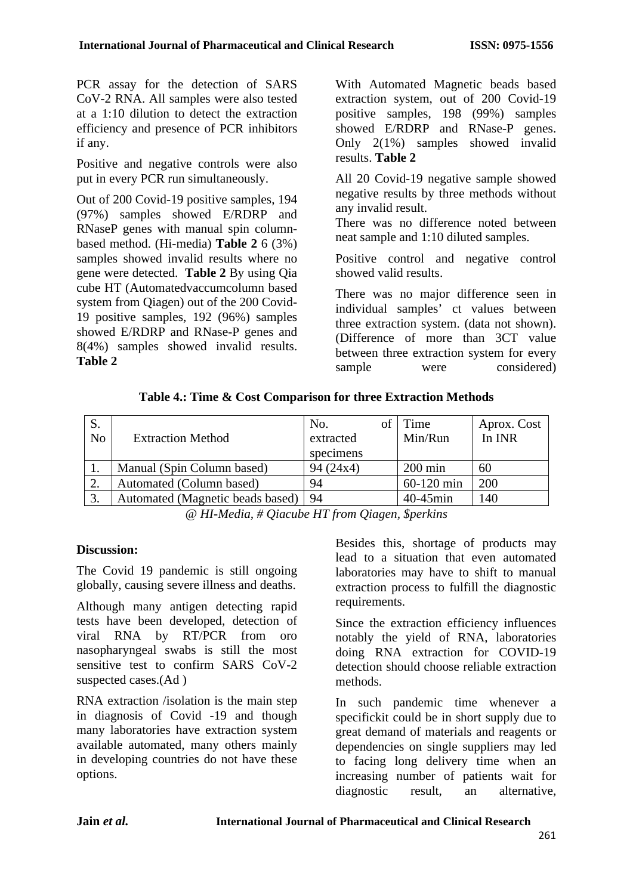PCR assay for the detection of SARS CoV-2 RNA. All samples were also tested at a 1:10 dilution to detect the extraction efficiency and presence of PCR inhibitors if any.

Positive and negative controls were also put in every PCR run simultaneously.

Out of 200 Covid-19 positive samples, 194 (97%) samples showed E/RDRP and RNaseP genes with manual spin columnbased method. (Hi-media) **Table 2** 6 (3%) samples showed invalid results where no gene were detected. **Table 2** By using Qia cube HT (Automatedvaccumcolumn based system from Qiagen) out of the 200 Covid-19 positive samples, 192 (96%) samples showed E/RDRP and RNase-P genes and 8(4%) samples showed invalid results. **Table 2**

With Automated Magnetic beads based extraction system, out of 200 Covid-19 positive samples, 198 (99%) samples showed E/RDRP and RNase-P genes. Only 2(1%) samples showed invalid results. **Table 2** 

All 20 Covid-19 negative sample showed negative results by three methods without any invalid result.

There was no difference noted between neat sample and 1:10 diluted samples.

Positive control and negative control showed valid results.

There was no major difference seen in individual samples' ct values between three extraction system. (data not shown). (Difference of more than 3CT value between three extraction system for every sample were considered)

| Table 4.: Time & Cost Comparison for three Extraction Methods |  |
|---------------------------------------------------------------|--|
|---------------------------------------------------------------|--|

| S.<br>N <sub>o</sub> | <b>Extraction Method</b>         | No.<br>extracted<br>specimens | Time<br>Min/Run   | Aprox. Cost<br>In INR |
|----------------------|----------------------------------|-------------------------------|-------------------|-----------------------|
|                      | Manual (Spin Column based)       | 94(24x4)                      | $200 \text{ min}$ | 60                    |
|                      | Automated (Column based)         | 94                            | 60-120 min        | 200                   |
|                      | Automated (Magnetic beads based) | 94                            | $40-45$ min       | 140                   |

*@ HI-Media, # Qiacube HT from Qiagen, \$perkins*

# **Discussion:**

The Covid 19 pandemic is still ongoing globally, causing severe illness and deaths.

Although many antigen detecting rapid tests have been developed, detection of viral RNA by RT/PCR from oro nasopharyngeal swabs is still the most sensitive test to confirm SARS CoV-2 suspected cases.(Ad )

RNA extraction /isolation is the main step in diagnosis of Covid -19 and though many laboratories have extraction system available automated, many others mainly in developing countries do not have these options.

Besides this, shortage of products may lead to a situation that even automated laboratories may have to shift to manual extraction process to fulfill the diagnostic requirements.

Since the extraction efficiency influences notably the yield of RNA, laboratories doing RNA extraction for COVID-19 detection should choose reliable extraction methods.

In such pandemic time whenever a specifickit could be in short supply due to great demand of materials and reagents or dependencies on single suppliers may led to facing long delivery time when an increasing number of patients wait for diagnostic result, an alternative,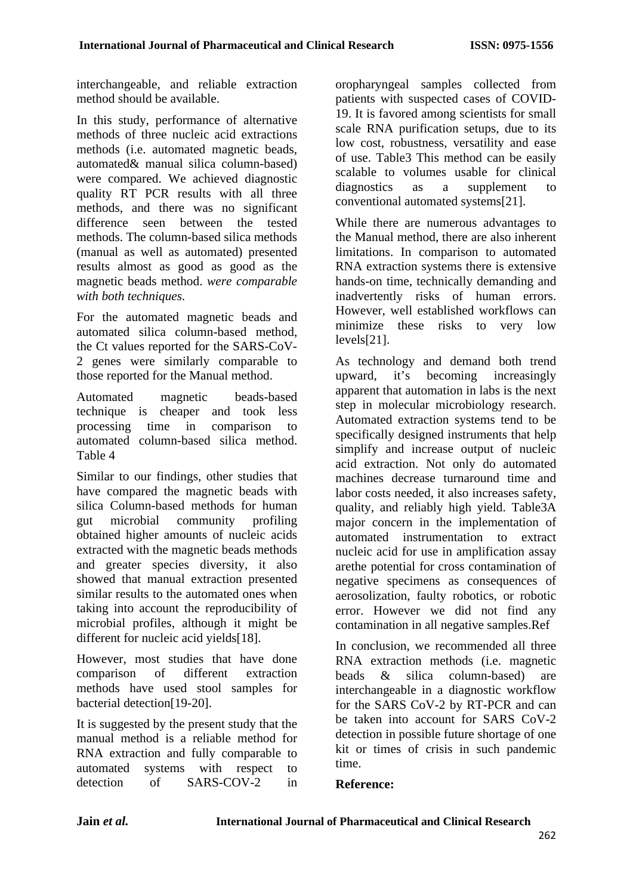interchangeable, and reliable extraction method should be available.

In this study, performance of alternative methods of three nucleic acid extractions methods (i.e. automated magnetic beads, automated& manual silica column-based) were compared. We achieved diagnostic quality RT PCR results with all three methods, and there was no significant difference seen between the tested methods. The column-based silica methods (manual as well as automated) presented results almost as good as good as the magnetic beads method. *were comparable with both techniques.*

For the automated magnetic beads and automated silica column-based method, the Ct values reported for the SARS-CoV-2 genes were similarly comparable to those reported for the Manual method.

Automated magnetic beads-based technique is cheaper and took less<br>processing time in comparison to processing time in comparison to automated column-based silica method. Table 4

Similar to our findings, other studies that have compared the magnetic beads with silica Column-based methods for human gut microbial community profiling obtained higher amounts of nucleic acids extracted with the magnetic beads methods and greater species diversity, it also showed that manual extraction presented similar results to the automated ones when taking into account the reproducibility of microbial profiles, although it might be different for nucleic acid yields[18].

However, most studies that have done comparison of different extraction methods have used stool samples for bacterial detection[19-20].

It is suggested by the present study that the manual method is a reliable method for RNA extraction and fully comparable to automated systems with respect to detection of SARS-COV-2 in

oropharyngeal samples collected from patients with suspected cases of COVID-19. It is favored among scientists for small scale RNA purification setups, due to its low cost, robustness, versatility and ease of use. Table3 This method can be easily scalable to volumes usable for clinical diagnostics as a supplement to conventional automated systems[21].

While there are numerous advantages to the Manual method, there are also inherent limitations. In comparison to automated RNA extraction systems there is extensive hands-on time, technically demanding and inadvertently risks of human errors. However, well established workflows can minimize these risks to very low levels[21].

As technology and demand both trend upward, it's becoming increasingly apparent that automation in labs is the next step in molecular microbiology research. Automated extraction systems tend to be specifically designed instruments that help simplify and increase output of nucleic acid extraction. Not only do automated machines decrease turnaround time and labor costs needed, it also increases safety, quality, and reliably high yield. Table3A major concern in the implementation of automated instrumentation to extract nucleic acid for use in amplification assay arethe potential for cross contamination of negative specimens as consequences of aerosolization, faulty robotics, or robotic error. However we did not find any contamination in all negative samples.Ref

In conclusion, we recommended all three RNA extraction methods (i.e. magnetic beads & silica column-based) are interchangeable in a diagnostic workflow for the SARS CoV-2 by RT-PCR and can be taken into account for SARS CoV-2 detection in possible future shortage of one kit or times of crisis in such pandemic time.

# **Reference:**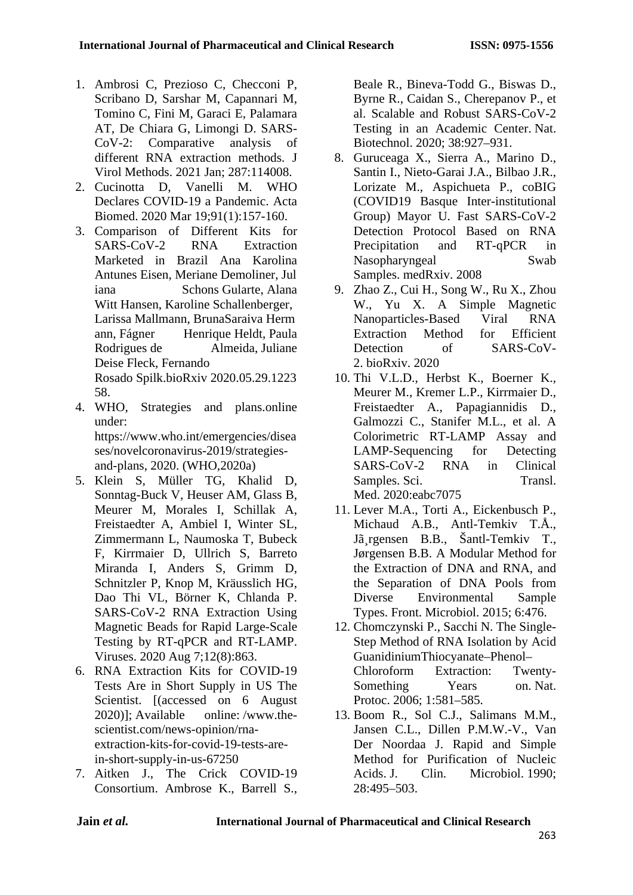- 1. Ambrosi C, Prezioso C, Checconi P, Scribano D, Sarshar M, Capannari M, Tomino C, Fini M, Garaci E, Palamara AT, De Chiara G, Limongi D. SARS-CoV-2: Comparative analysis of different RNA extraction methods. J Virol Methods. 2021 Jan; 287:114008.
- 2. Cucinotta D, Vanelli M. WHO Declares COVID-19 a Pandemic. Acta Biomed. 2020 Mar 19;91(1):157-160.
- 3. Comparison of Different Kits for SARS-CoV-2 RNA Extraction Marketed in Brazil Ana Karolina Antunes Eisen, Meriane Demoliner, Jul iana Schons Gularte, Alana Witt Hansen, Karoline Schallenberger, Larissa Mallmann, BrunaSaraiva Herm ann, Fágner Henrique Heldt, Paula Rodrigues de Almeida, Juliane Deise Fleck, Fernando Rosado Spilk.bioRxiv 2020.05.29.1223 58.
- 4. WHO, Strategies and plans.online under: https://www.who.int/emergencies/disea ses/novelcoronavirus-2019/strategiesand-plans, 2020. (WHO,2020a)
- 5. Klein S, Müller TG, Khalid D, Sonntag-Buck V, Heuser AM, Glass B, Meurer M, Morales I, Schillak A, Freistaedter A, Ambiel I, Winter SL, Zimmermann L, Naumoska T, Bubeck F, Kirrmaier D, Ullrich S, Barreto Miranda I, Anders S, Grimm D, Schnitzler P, Knop M, Kräusslich HG, Dao Thi VL, Börner K, Chlanda P. SARS-CoV-2 RNA Extraction Using Magnetic Beads for Rapid Large-Scale Testing by RT-qPCR and RT-LAMP. Viruses. 2020 Aug 7;12(8):863.
- 6. RNA Extraction Kits for COVID-19 Tests Are in Short Supply in US The Scientist. [(accessed on 6 August 2020)]; Available online: [/www.the](http://www.the-scientist.com/news-opinion/rna-extraction-kits-for-covid-19-tests-are-in-short-supply-in-us-67250)[scientist.com/news-opinion/rna](http://www.the-scientist.com/news-opinion/rna-extraction-kits-for-covid-19-tests-are-in-short-supply-in-us-67250)[extraction-kits-for-covid-19-tests-are](http://www.the-scientist.com/news-opinion/rna-extraction-kits-for-covid-19-tests-are-in-short-supply-in-us-67250)[in-short-supply-in-us-67250](http://www.the-scientist.com/news-opinion/rna-extraction-kits-for-covid-19-tests-are-in-short-supply-in-us-67250)
- 7. Aitken J., The Crick COVID-19 Consortium. Ambrose K., Barrell S.,

Beale R., Bineva-Todd G., Biswas D., Byrne R., Caidan S., Cherepanov P., et al. Scalable and Robust SARS-CoV-2 Testing in an Academic Center. Nat. Biotechnol. 2020; 38:927–931.

- 8. Guruceaga X., Sierra A., Marino D., Santin I., Nieto-Garai J.A., Bilbao J.R., Lorizate M., Aspichueta P., coBIG (COVID19 Basque Inter-institutional Group) Mayor U. Fast SARS-CoV-2 Detection Protocol Based on RNA Precipitation and RT-qPCR in Nasopharyngeal Swab Samples. medRxiv. 2008
- 9. Zhao Z., Cui H., Song W., Ru X., Zhou W., Yu X. A Simple Magnetic Nanoparticles-Based Viral RNA Extraction Method for Efficient Detection of SARS-CoV-2. bioRxiv. 2020
- 10. Thi V.L.D., Herbst K., Boerner K., Meurer M., Kremer L.P., Kirrmaier D., Freistaedter A., Papagiannidis D., Galmozzi C., Stanifer M.L., et al. A Colorimetric RT-LAMP Assay and LAMP-Sequencing for Detecting SARS-CoV-2 RNA in Clinical Samples. Sci. Transl. Med. 2020:eabc7075
- 11. Lever M.A., Torti A., Eickenbusch P., Michaud A.B., Antl-Temkiv T.Å., Jã¸rgensen B.B., Šantl-Temkiv T., Jørgensen B.B. A Modular Method for the Extraction of DNA and RNA, and the Separation of DNA Pools from Diverse Environmental Sample Types. Front. Microbiol. 2015; 6:476.
- 12. Chomczynski P., Sacchi N. The Single-Step Method of RNA Isolation by Acid GuanidiniumThiocyanate–Phenol– Chloroform Extraction: Twenty-Something Years on. Nat. Protoc. 2006; 1:581–585.
- 13. Boom R., Sol C.J., Salimans M.M., Jansen C.L., Dillen P.M.W.-V., Van Der Noordaa J. Rapid and Simple Method for Purification of Nucleic Acids. J. Clin. Microbiol. 1990; 28:495–503.